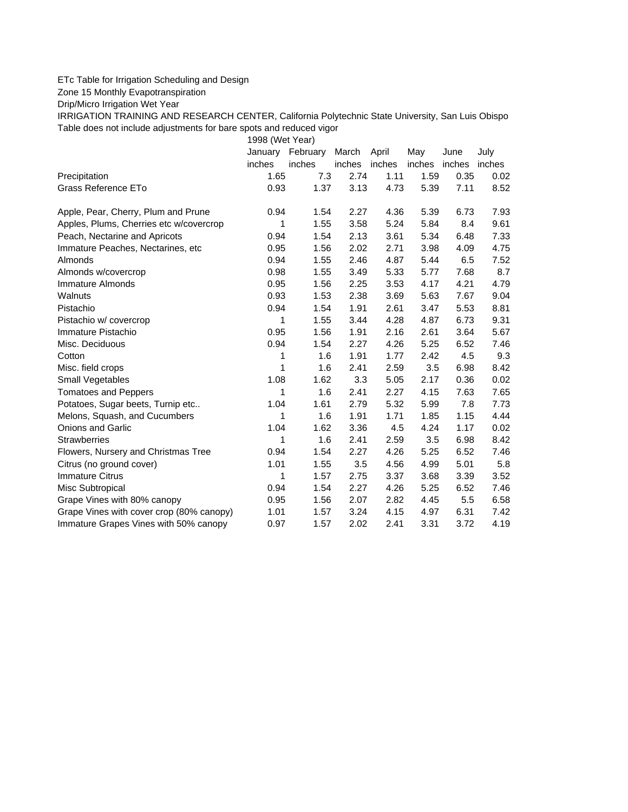## ETc Table for Irrigation Scheduling and Design

Zone 15 Monthly Evapotranspiration

Drip/Micro Irrigation Wet Year

IRRIGATION TRAINING AND RESEARCH CENTER, California Polytechnic State University, San Luis Obispo Table does not include adjustments for bare spots and reduced vigor

1998 (Wet Year)

|                                          | January | February | March  | April  | May    | June   | July   |
|------------------------------------------|---------|----------|--------|--------|--------|--------|--------|
|                                          | inches  | inches   | inches | inches | inches | inches | inches |
| Precipitation                            | 1.65    | 7.3      | 2.74   | 1.11   | 1.59   | 0.35   | 0.02   |
| Grass Reference ETo                      | 0.93    | 1.37     | 3.13   | 4.73   | 5.39   | 7.11   | 8.52   |
| Apple, Pear, Cherry, Plum and Prune      | 0.94    | 1.54     | 2.27   | 4.36   | 5.39   | 6.73   | 7.93   |
| Apples, Plums, Cherries etc w/covercrop  | 1       | 1.55     | 3.58   | 5.24   | 5.84   | 8.4    | 9.61   |
| Peach, Nectarine and Apricots            | 0.94    | 1.54     | 2.13   | 3.61   | 5.34   | 6.48   | 7.33   |
| Immature Peaches, Nectarines, etc        | 0.95    | 1.56     | 2.02   | 2.71   | 3.98   | 4.09   | 4.75   |
| <b>Almonds</b>                           | 0.94    | 1.55     | 2.46   | 4.87   | 5.44   | 6.5    | 7.52   |
| Almonds w/covercrop                      | 0.98    | 1.55     | 3.49   | 5.33   | 5.77   | 7.68   | 8.7    |
| Immature Almonds                         | 0.95    | 1.56     | 2.25   | 3.53   | 4.17   | 4.21   | 4.79   |
| Walnuts                                  | 0.93    | 1.53     | 2.38   | 3.69   | 5.63   | 7.67   | 9.04   |
| Pistachio                                | 0.94    | 1.54     | 1.91   | 2.61   | 3.47   | 5.53   | 8.81   |
| Pistachio w/ covercrop                   | 1       | 1.55     | 3.44   | 4.28   | 4.87   | 6.73   | 9.31   |
| Immature Pistachio                       | 0.95    | 1.56     | 1.91   | 2.16   | 2.61   | 3.64   | 5.67   |
| Misc. Deciduous                          | 0.94    | 1.54     | 2.27   | 4.26   | 5.25   | 6.52   | 7.46   |
| Cotton                                   | 1       | 1.6      | 1.91   | 1.77   | 2.42   | 4.5    | 9.3    |
| Misc. field crops                        | 1       | 1.6      | 2.41   | 2.59   | 3.5    | 6.98   | 8.42   |
| Small Vegetables                         | 1.08    | 1.62     | 3.3    | 5.05   | 2.17   | 0.36   | 0.02   |
| <b>Tomatoes and Peppers</b>              | 1       | 1.6      | 2.41   | 2.27   | 4.15   | 7.63   | 7.65   |
| Potatoes, Sugar beets, Turnip etc        | 1.04    | 1.61     | 2.79   | 5.32   | 5.99   | 7.8    | 7.73   |
| Melons, Squash, and Cucumbers            | 1       | 1.6      | 1.91   | 1.71   | 1.85   | 1.15   | 4.44   |
| Onions and Garlic                        | 1.04    | 1.62     | 3.36   | 4.5    | 4.24   | 1.17   | 0.02   |
| <b>Strawberries</b>                      | 1       | 1.6      | 2.41   | 2.59   | 3.5    | 6.98   | 8.42   |
| Flowers, Nursery and Christmas Tree      | 0.94    | 1.54     | 2.27   | 4.26   | 5.25   | 6.52   | 7.46   |
| Citrus (no ground cover)                 | 1.01    | 1.55     | 3.5    | 4.56   | 4.99   | 5.01   | 5.8    |
| <b>Immature Citrus</b>                   | 1       | 1.57     | 2.75   | 3.37   | 3.68   | 3.39   | 3.52   |
| Misc Subtropical                         | 0.94    | 1.54     | 2.27   | 4.26   | 5.25   | 6.52   | 7.46   |
| Grape Vines with 80% canopy              | 0.95    | 1.56     | 2.07   | 2.82   | 4.45   | 5.5    | 6.58   |
| Grape Vines with cover crop (80% canopy) | 1.01    | 1.57     | 3.24   | 4.15   | 4.97   | 6.31   | 7.42   |
| Immature Grapes Vines with 50% canopy    | 0.97    | 1.57     | 2.02   | 2.41   | 3.31   | 3.72   | 4.19   |